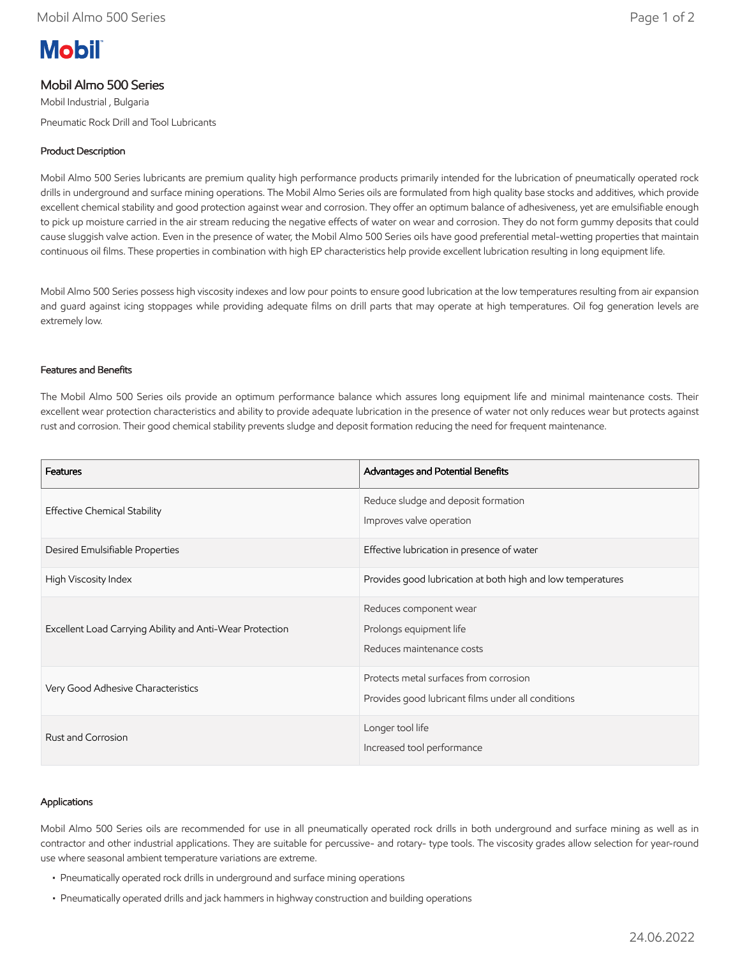# **Mobil**

# Mobil Almo 500 Series

Mobil Industrial , Bulgaria Pneumatic Rock Drill and Tool Lubricants

# Product Description

Mobil Almo 500 Series lubricants are premium quality high performance products primarily intended for the lubrication of pneumatically operated rock drills in underground and surface mining operations. The Mobil Almo Series oils are formulated from high quality base stocks and additives, which provide excellent chemical stability and good protection against wear and corrosion. They offer an optimum balance of adhesiveness, yet are emulsifiable enough to pick up moisture carried in the air stream reducing the negative effects of water on wear and corrosion. They do not form gummy deposits that could cause sluggish valve action. Even in the presence of water, the Mobil Almo 500 Series oils have good preferential metal-wetting properties that maintain continuous oil films. These properties in combination with high EP characteristics help provide excellent lubrication resulting in long equipment life.

Mobil Almo 500 Series possess high viscosity indexes and low pour points to ensure good lubrication at the low temperatures resulting from air expansion and guard against icing stoppages while providing adequate films on drill parts that may operate at high temperatures. Oil fog generation levels are extremely low.

## Features and Benefits

The Mobil Almo 500 Series oils provide an optimum performance balance which assures long equipment life and minimal maintenance costs. Their excellent wear protection characteristics and ability to provide adequate lubrication in the presence of water not only reduces wear but protects against rust and corrosion. Their good chemical stability prevents sludge and deposit formation reducing the need for frequent maintenance.

| Features                                                 | Advantages and Potential Benefits                                                            |
|----------------------------------------------------------|----------------------------------------------------------------------------------------------|
| <b>Effective Chemical Stability</b>                      | Reduce sludge and deposit formation<br>Improves valve operation                              |
| Desired Emulsifiable Properties                          | Effective lubrication in presence of water                                                   |
| High Viscosity Index                                     | Provides good lubrication at both high and low temperatures                                  |
| Excellent Load Carrying Ability and Anti-Wear Protection | Reduces component wear<br>Prolongs equipment life<br>Reduces maintenance costs               |
| Very Good Adhesive Characteristics                       | Protects metal surfaces from corrosion<br>Provides good lubricant films under all conditions |
| Rust and Corrosion                                       | Longer tool life<br>Increased tool performance                                               |

#### Applications

Mobil Almo 500 Series oils are recommended for use in all pneumatically operated rock drills in both underground and surface mining as well as in contractor and other industrial applications. They are suitable for percussive- and rotary- type tools. The viscosity grades allow selection for year-round use where seasonal ambient temperature variations are extreme.

- Pneumatically operated rock drills in underground and surface mining operations
- Pneumatically operated drills and jack hammers in highway construction and building operations